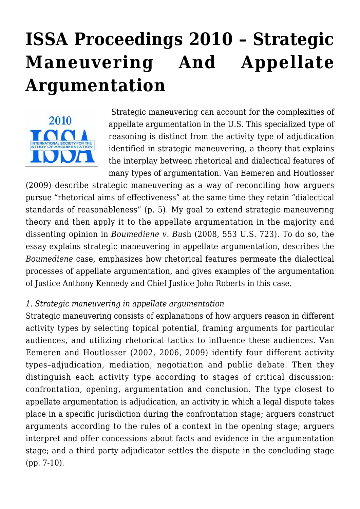# **[ISSA Proceedings 2010 – Strategic](https://rozenbergquarterly.com/issa-proceedings-2010-strategic-maneuvering-and-appellate-argumentation/) [Maneuvering And Appellate](https://rozenbergquarterly.com/issa-proceedings-2010-strategic-maneuvering-and-appellate-argumentation/) [Argumentation](https://rozenbergquarterly.com/issa-proceedings-2010-strategic-maneuvering-and-appellate-argumentation/)**



 Strategic maneuvering can account for the complexities of appellate argumentation in the U.S. This specialized type of reasoning is distinct from the activity type of adjudication identified in strategic maneuvering, a theory that explains the interplay between rhetorical and dialectical features of many types of argumentation. Van Eemeren and Houtlosser

(2009) describe strategic maneuvering as a way of reconciling how arguers pursue "rhetorical aims of effectiveness" at the same time they retain "dialectical standards of reasonableness" (p. 5). My goal to extend strategic maneuvering theory and then apply it to the appellate argumentation in the majority and dissenting opinion in *Boumediene v. Bus*h (2008, 553 U.S. 723). To do so, the essay explains strategic maneuvering in appellate argumentation, describes the *Boumediene* case, emphasizes how rhetorical features permeate the dialectical processes of appellate argumentation, and gives examples of the argumentation of Justice Anthony Kennedy and Chief Justice John Roberts in this case.

## *1. Strategic maneuvering in appellate argumentation*

Strategic maneuvering consists of explanations of how arguers reason in different activity types by selecting topical potential, framing arguments for particular audiences, and utilizing rhetorical tactics to influence these audiences. Van Eemeren and Houtlosser (2002, 2006, 2009) identify four different activity types–adjudication, mediation, negotiation and public debate. Then they distinguish each activity type according to stages of critical discussion: confrontation, opening, argumentation and conclusion. The type closest to appellate argumentation is adjudication, an activity in which a legal dispute takes place in a specific jurisdiction during the confrontation stage; arguers construct arguments according to the rules of a context in the opening stage; arguers interpret and offer concessions about facts and evidence in the argumentation stage; and a third party adjudicator settles the dispute in the concluding stage (pp. 7-10).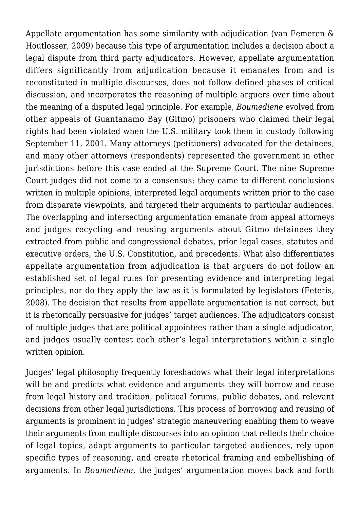Appellate argumentation has some similarity with adjudication (van Eemeren & Houtlosser, 2009) because this type of argumentation includes a decision about a legal dispute from third party adjudicators. However, appellate argumentation differs significantly from adjudication because it emanates from and is reconstituted in multiple discourses, does not follow defined phases of critical discussion, and incorporates the reasoning of multiple arguers over time about the meaning of a disputed legal principle. For example, *Boumediene* evolved from other appeals of Guantanamo Bay (Gitmo) prisoners who claimed their legal rights had been violated when the U.S. military took them in custody following September 11, 2001. Many attorneys (petitioners) advocated for the detainees, and many other attorneys (respondents) represented the government in other jurisdictions before this case ended at the Supreme Court. The nine Supreme Court judges did not come to a consensus; they came to different conclusions written in multiple opinions, interpreted legal arguments written prior to the case from disparate viewpoints, and targeted their arguments to particular audiences. The overlapping and intersecting argumentation emanate from appeal attorneys and judges recycling and reusing arguments about Gitmo detainees they extracted from public and congressional debates, prior legal cases, statutes and executive orders, the U.S. Constitution, and precedents. What also differentiates appellate argumentation from adjudication is that arguers do not follow an established set of legal rules for presenting evidence and interpreting legal principles, nor do they apply the law as it is formulated by legislators (Feteris, 2008). The decision that results from appellate argumentation is not correct, but it is rhetorically persuasive for judges' target audiences. The adjudicators consist of multiple judges that are political appointees rather than a single adjudicator, and judges usually contest each other's legal interpretations within a single written opinion.

Judges' legal philosophy frequently foreshadows what their legal interpretations will be and predicts what evidence and arguments they will borrow and reuse from legal history and tradition, political forums, public debates, and relevant decisions from other legal jurisdictions. This process of borrowing and reusing of arguments is prominent in judges' strategic maneuvering enabling them to weave their arguments from multiple discourses into an opinion that reflects their choice of legal topics, adapt arguments to particular targeted audiences, rely upon specific types of reasoning, and create rhetorical framing and embellishing of arguments. In *Boumediene*, the judges' argumentation moves back and forth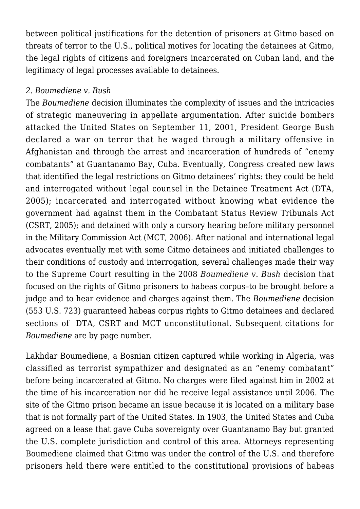between political justifications for the detention of prisoners at Gitmo based on threats of terror to the U.S., political motives for locating the detainees at Gitmo, the legal rights of citizens and foreigners incarcerated on Cuban land, and the legitimacy of legal processes available to detainees.

## *2. Boumediene v. Bush*

The *Boumediene* decision illuminates the complexity of issues and the intricacies of strategic maneuvering in appellate argumentation. After suicide bombers attacked the United States on September 11, 2001, President George Bush declared a war on terror that he waged through a military offensive in Afghanistan and through the arrest and incarceration of hundreds of "enemy combatants" at Guantanamo Bay, Cuba. Eventually, Congress created new laws that identified the legal restrictions on Gitmo detainees' rights: they could be held and interrogated without legal counsel in the Detainee Treatment Act (DTA, 2005); incarcerated and interrogated without knowing what evidence the government had against them in the Combatant Status Review Tribunals Act (CSRT, 2005); and detained with only a cursory hearing before military personnel in the Military Commission Act (MCT, 2006). After national and international legal advocates eventually met with some Gitmo detainees and initiated challenges to their conditions of custody and interrogation, several challenges made their way to the Supreme Court resulting in the 2008 *Boumediene v. Bush* decision that focused on the rights of Gitmo prisoners to habeas corpus–to be brought before a judge and to hear evidence and charges against them. The *Boumediene* decision (553 U.S. 723) guaranteed habeas corpus rights to Gitmo detainees and declared sections of DTA, CSRT and MCT unconstitutional. Subsequent citations for *Boumediene* are by page number.

Lakhdar Boumediene, a Bosnian citizen captured while working in Algeria, was classified as terrorist sympathizer and designated as an "enemy combatant" before being incarcerated at Gitmo. No charges were filed against him in 2002 at the time of his incarceration nor did he receive legal assistance until 2006. The site of the Gitmo prison became an issue because it is located on a military base that is not formally part of the United States. In 1903, the United States and Cuba agreed on a lease that gave Cuba sovereignty over Guantanamo Bay but granted the U.S. complete jurisdiction and control of this area. Attorneys representing Boumediene claimed that Gitmo was under the control of the U.S. and therefore prisoners held there were entitled to the constitutional provisions of habeas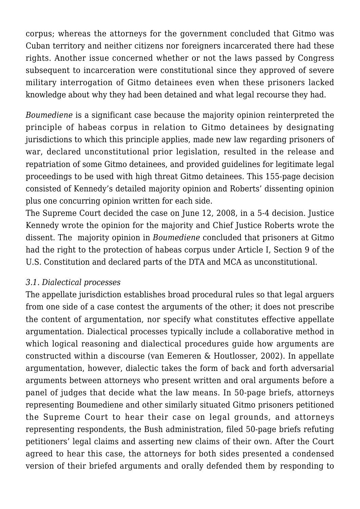corpus; whereas the attorneys for the government concluded that Gitmo was Cuban territory and neither citizens nor foreigners incarcerated there had these rights. Another issue concerned whether or not the laws passed by Congress subsequent to incarceration were constitutional since they approved of severe military interrogation of Gitmo detainees even when these prisoners lacked knowledge about why they had been detained and what legal recourse they had.

*Boumediene* is a significant case because the majority opinion reinterpreted the principle of habeas corpus in relation to Gitmo detainees by designating jurisdictions to which this principle applies, made new law regarding prisoners of war, declared unconstitutional prior legislation, resulted in the release and repatriation of some Gitmo detainees, and provided guidelines for legitimate legal proceedings to be used with high threat Gitmo detainees. This 155-page decision consisted of Kennedy's detailed majority opinion and Roberts' dissenting opinion plus one concurring opinion written for each side.

The Supreme Court decided the case on June 12, 2008, in a 5-4 decision. Justice Kennedy wrote the opinion for the majority and Chief Justice Roberts wrote the dissent. The majority opinion in *Boumediene* concluded that prisoners at Gitmo had the right to the protection of habeas corpus under Article I, Section 9 of the U.S. Constitution and declared parts of the DTA and MCA as unconstitutional.

## *3.1. Dialectical processes*

The appellate jurisdiction establishes broad procedural rules so that legal arguers from one side of a case contest the arguments of the other; it does not prescribe the content of argumentation, nor specify what constitutes effective appellate argumentation. Dialectical processes typically include a collaborative method in which logical reasoning and dialectical procedures guide how arguments are constructed within a discourse (van Eemeren & Houtlosser, 2002). In appellate argumentation, however, dialectic takes the form of back and forth adversarial arguments between attorneys who present written and oral arguments before a panel of judges that decide what the law means. In 50-page briefs, attorneys representing Boumediene and other similarly situated Gitmo prisoners petitioned the Supreme Court to hear their case on legal grounds, and attorneys representing respondents, the Bush administration, filed 50-page briefs refuting petitioners' legal claims and asserting new claims of their own. After the Court agreed to hear this case, the attorneys for both sides presented a condensed version of their briefed arguments and orally defended them by responding to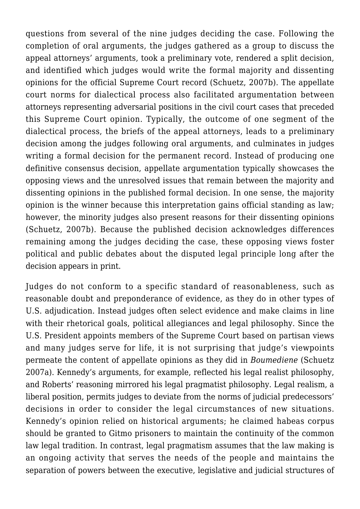questions from several of the nine judges deciding the case. Following the completion of oral arguments, the judges gathered as a group to discuss the appeal attorneys' arguments, took a preliminary vote, rendered a split decision, and identified which judges would write the formal majority and dissenting opinions for the official Supreme Court record (Schuetz, 2007b). The appellate court norms for dialectical process also facilitated argumentation between attorneys representing adversarial positions in the civil court cases that preceded this Supreme Court opinion. Typically, the outcome of one segment of the dialectical process, the briefs of the appeal attorneys, leads to a preliminary decision among the judges following oral arguments, and culminates in judges writing a formal decision for the permanent record. Instead of producing one definitive consensus decision, appellate argumentation typically showcases the opposing views and the unresolved issues that remain between the majority and dissenting opinions in the published formal decision. In one sense, the majority opinion is the winner because this interpretation gains official standing as law; however, the minority judges also present reasons for their dissenting opinions (Schuetz, 2007b). Because the published decision acknowledges differences remaining among the judges deciding the case, these opposing views foster political and public debates about the disputed legal principle long after the decision appears in print.

Judges do not conform to a specific standard of reasonableness, such as reasonable doubt and preponderance of evidence, as they do in other types of U.S. adjudication. Instead judges often select evidence and make claims in line with their rhetorical goals, political allegiances and legal philosophy. Since the U.S. President appoints members of the Supreme Court based on partisan views and many judges serve for life, it is not surprising that judge's viewpoints permeate the content of appellate opinions as they did in *Boumediene* (Schuetz 2007a). Kennedy's arguments, for example, reflected his legal realist philosophy, and Roberts' reasoning mirrored his legal pragmatist philosophy. Legal realism, a liberal position, permits judges to deviate from the norms of judicial predecessors' decisions in order to consider the legal circumstances of new situations. Kennedy's opinion relied on historical arguments; he claimed habeas corpus should be granted to Gitmo prisoners to maintain the continuity of the common law legal tradition. In contrast, legal pragmatism assumes that the law making is an ongoing activity that serves the needs of the people and maintains the separation of powers between the executive, legislative and judicial structures of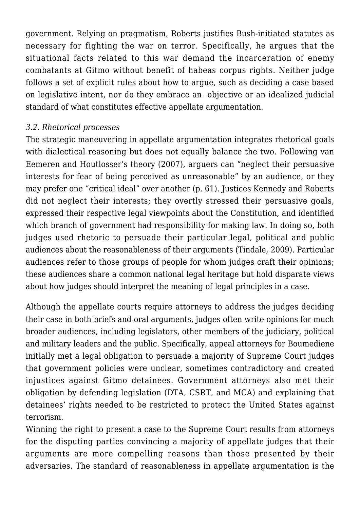government. Relying on pragmatism, Roberts justifies Bush-initiated statutes as necessary for fighting the war on terror. Specifically, he argues that the situational facts related to this war demand the incarceration of enemy combatants at Gitmo without benefit of habeas corpus rights. Neither judge follows a set of explicit rules about how to argue, such as deciding a case based on legislative intent, nor do they embrace an objective or an idealized judicial standard of what constitutes effective appellate argumentation.

## *3.2. Rhetorical processes*

The strategic maneuvering in appellate argumentation integrates rhetorical goals with dialectical reasoning but does not equally balance the two. Following van Eemeren and Houtlosser's theory (2007), arguers can "neglect their persuasive interests for fear of being perceived as unreasonable" by an audience, or they may prefer one "critical ideal" over another (p. 61). Justices Kennedy and Roberts did not neglect their interests; they overtly stressed their persuasive goals, expressed their respective legal viewpoints about the Constitution, and identified which branch of government had responsibility for making law. In doing so, both judges used rhetoric to persuade their particular legal, political and public audiences about the reasonableness of their arguments (Tindale, 2009). Particular audiences refer to those groups of people for whom judges craft their opinions; these audiences share a common national legal heritage but hold disparate views about how judges should interpret the meaning of legal principles in a case.

Although the appellate courts require attorneys to address the judges deciding their case in both briefs and oral arguments, judges often write opinions for much broader audiences, including legislators, other members of the judiciary, political and military leaders and the public. Specifically, appeal attorneys for Boumediene initially met a legal obligation to persuade a majority of Supreme Court judges that government policies were unclear, sometimes contradictory and created injustices against Gitmo detainees. Government attorneys also met their obligation by defending legislation (DTA, CSRT, and MCA) and explaining that detainees' rights needed to be restricted to protect the United States against terrorism.

Winning the right to present a case to the Supreme Court results from attorneys for the disputing parties convincing a majority of appellate judges that their arguments are more compelling reasons than those presented by their adversaries. The standard of reasonableness in appellate argumentation is the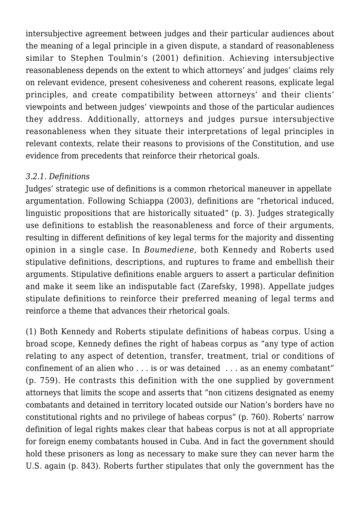intersubjective agreement between judges and their particular audiences about the meaning of a legal principle in a given dispute, a standard of reasonableness similar to Stephen Toulmin's (2001) definition. Achieving intersubjective reasonableness depends on the extent to which attorneys' and judges' claims rely on relevant evidence, present cohesiveness and coherent reasons, explicate legal principles, and create compatibility between attorneys' and their clients' viewpoints and between judges' viewpoints and those of the particular audiences they address. Additionally, attorneys and judges pursue intersubjective reasonableness when they situate their interpretations of legal principles in relevant contexts, relate their reasons to provisions of the Constitution, and use evidence from precedents that reinforce their rhetorical goals.

# *3.2.1. Definitions*

Judges' strategic use of definitions is a common rhetorical maneuver in appellate argumentation. Following Schiappa (2003), definitions are "rhetorical induced, linguistic propositions that are historically situated" (p. 3). Judges strategically use definitions to establish the reasonableness and force of their arguments, resulting in different definitions of key legal terms for the majority and dissenting opinion in a single case. In *Boumediene*, both Kennedy and Roberts used stipulative definitions, descriptions, and ruptures to frame and embellish their arguments. Stipulative definitions enable arguers to assert a particular definition and make it seem like an indisputable fact (Zarefsky, 1998). Appellate judges stipulate definitions to reinforce their preferred meaning of legal terms and reinforce a theme that advances their rhetorical goals.

(1) Both Kennedy and Roberts stipulate definitions of habeas corpus. Using a broad scope, Kennedy defines the right of habeas corpus as "any type of action relating to any aspect of detention, transfer, treatment, trial or conditions of confinement of an alien who . . . is or was detained . . . as an enemy combatant" (p. 759). He contrasts this definition with the one supplied by government attorneys that limits the scope and asserts that "non citizens designated as enemy combatants and detained in territory located outside our Nation's borders have no constitutional rights and no privilege of habeas corpus" (p. 760). Roberts' narrow definition of legal rights makes clear that habeas corpus is not at all appropriate for foreign enemy combatants housed in Cuba. And in fact the government should hold these prisoners as long as necessary to make sure they can never harm the U.S. again (p. 843). Roberts further stipulates that only the government has the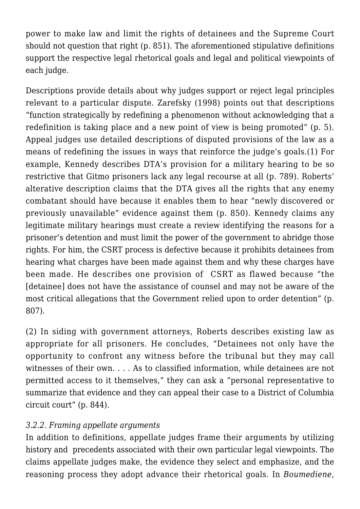power to make law and limit the rights of detainees and the Supreme Court should not question that right (p. 851). The aforementioned stipulative definitions support the respective legal rhetorical goals and legal and political viewpoints of each judge.

Descriptions provide details about why judges support or reject legal principles relevant to a particular dispute. Zarefsky (1998) points out that descriptions "function strategically by redefining a phenomenon without acknowledging that a redefinition is taking place and a new point of view is being promoted" (p. 5). Appeal judges use detailed descriptions of disputed provisions of the law as a means of redefining the issues in ways that reinforce the judge's goals.(1) For example, Kennedy describes DTA's provision for a military hearing to be so restrictive that Gitmo prisoners lack any legal recourse at all (p. 789). Roberts' alterative description claims that the DTA gives all the rights that any enemy combatant should have because it enables them to hear "newly discovered or previously unavailable" evidence against them (p. 850). Kennedy claims any legitimate military hearings must create a review identifying the reasons for a prisoner's detention and must limit the power of the government to abridge those rights. For him, the CSRT process is defective because it prohibits detainees from hearing what charges have been made against them and why these charges have been made. He describes one provision of CSRT as flawed because "the [detainee] does not have the assistance of counsel and may not be aware of the most critical allegations that the Government relied upon to order detention" (p. 807).

(2) In siding with government attorneys, Roberts describes existing law as appropriate for all prisoners. He concludes, "Detainees not only have the opportunity to confront any witness before the tribunal but they may call witnesses of their own. . . . As to classified information, while detainees are not permitted access to it themselves," they can ask a "personal representative to summarize that evidence and they can appeal their case to a District of Columbia circuit court" (p. 844).

# *3.2.2. Framing appellate arguments*

In addition to definitions, appellate judges frame their arguments by utilizing history and precedents associated with their own particular legal viewpoints. The claims appellate judges make, the evidence they select and emphasize, and the reasoning process they adopt advance their rhetorical goals. In *Boumediene*,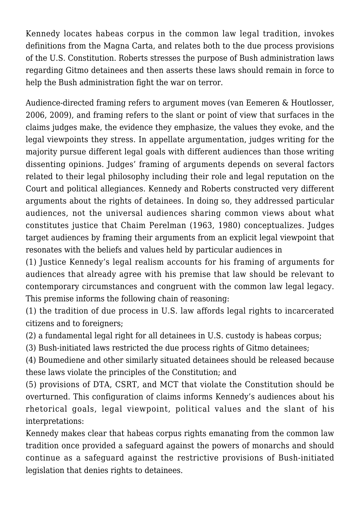Kennedy locates habeas corpus in the common law legal tradition, invokes definitions from the Magna Carta, and relates both to the due process provisions of the U.S. Constitution. Roberts stresses the purpose of Bush administration laws regarding Gitmo detainees and then asserts these laws should remain in force to help the Bush administration fight the war on terror.

Audience-directed framing refers to argument moves (van Eemeren & Houtlosser, 2006, 2009), and framing refers to the slant or point of view that surfaces in the claims judges make, the evidence they emphasize, the values they evoke, and the legal viewpoints they stress. In appellate argumentation, judges writing for the majority pursue different legal goals with different audiences than those writing dissenting opinions. Judges' framing of arguments depends on several factors related to their legal philosophy including their role and legal reputation on the Court and political allegiances. Kennedy and Roberts constructed very different arguments about the rights of detainees. In doing so, they addressed particular audiences, not the universal audiences sharing common views about what constitutes justice that Chaim Perelman (1963, 1980) conceptualizes. Judges target audiences by framing their arguments from an explicit legal viewpoint that resonates with the beliefs and values held by particular audiences in

(1) Justice Kennedy's legal realism accounts for his framing of arguments for audiences that already agree with his premise that law should be relevant to contemporary circumstances and congruent with the common law legal legacy. This premise informs the following chain of reasoning:

(1) the tradition of due process in U.S. law affords legal rights to incarcerated citizens and to foreigners;

(2) a fundamental legal right for all detainees in U.S. custody is habeas corpus;

(3) Bush-initiated laws restricted the due process rights of Gitmo detainees;

(4) Boumediene and other similarly situated detainees should be released because these laws violate the principles of the Constitution; and

(5) provisions of DTA, CSRT, and MCT that violate the Constitution should be overturned. This configuration of claims informs Kennedy's audiences about his rhetorical goals, legal viewpoint, political values and the slant of his interpretations:

Kennedy makes clear that habeas corpus rights emanating from the common law tradition once provided a safeguard against the powers of monarchs and should continue as a safeguard against the restrictive provisions of Bush-initiated legislation that denies rights to detainees.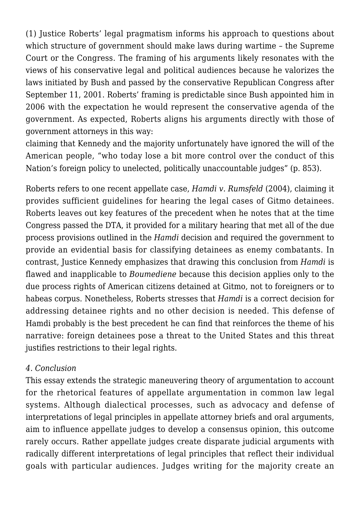(1) Justice Roberts' legal pragmatism informs his approach to questions about which structure of government should make laws during wartime – the Supreme Court or the Congress. The framing of his arguments likely resonates with the views of his conservative legal and political audiences because he valorizes the laws initiated by Bush and passed by the conservative Republican Congress after September 11, 2001. Roberts' framing is predictable since Bush appointed him in 2006 with the expectation he would represent the conservative agenda of the government. As expected, Roberts aligns his arguments directly with those of government attorneys in this way:

claiming that Kennedy and the majority unfortunately have ignored the will of the American people, "who today lose a bit more control over the conduct of this Nation's foreign policy to unelected, politically unaccountable judges" (p. 853).

Roberts refers to one recent appellate case, *Hamdi v. Rumsfeld* (2004), claiming it provides sufficient guidelines for hearing the legal cases of Gitmo detainees. Roberts leaves out key features of the precedent when he notes that at the time Congress passed the DTA, it provided for a military hearing that met all of the due process provisions outlined in the *Hamdi* decision and required the government to provide an evidential basis for classifying detainees as enemy combatants. In contrast, Justice Kennedy emphasizes that drawing this conclusion from *Hamdi* is flawed and inapplicable to *Boumediene* because this decision applies only to the due process rights of American citizens detained at Gitmo, not to foreigners or to habeas corpus. Nonetheless, Roberts stresses that *Hamdi* is a correct decision for addressing detainee rights and no other decision is needed. This defense of Hamdi probably is the best precedent he can find that reinforces the theme of his narrative: foreign detainees pose a threat to the United States and this threat justifies restrictions to their legal rights.

# *4. Conclusion*

This essay extends the strategic maneuvering theory of argumentation to account for the rhetorical features of appellate argumentation in common law legal systems. Although dialectical processes, such as advocacy and defense of interpretations of legal principles in appellate attorney briefs and oral arguments, aim to influence appellate judges to develop a consensus opinion, this outcome rarely occurs. Rather appellate judges create disparate judicial arguments with radically different interpretations of legal principles that reflect their individual goals with particular audiences. Judges writing for the majority create an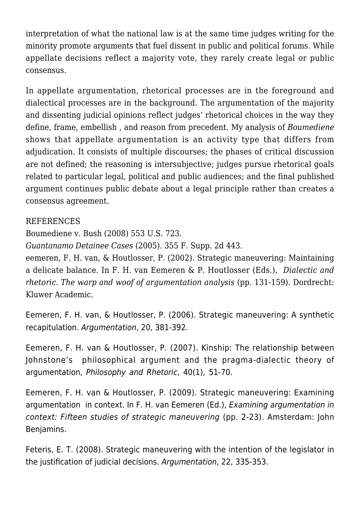interpretation of what the national law is at the same time judges writing for the minority promote arguments that fuel dissent in public and political forums. While appellate decisions reflect a majority vote, they rarely create legal or public consensus.

In appellate argumentation, rhetorical processes are in the foreground and dialectical processes are in the background. The argumentation of the majority and dissenting judicial opinions reflect judges' rhetorical choices in the way they define, frame, embellish , and reason from precedent. My analysis of *Boumediene* shows that appellate argumentation is an activity type that differs from adjudication. It consists of multiple discourses; the phases of critical discussion are not defined; the reasoning is intersubjective; judges pursue rhetorical goals related to particular legal, political and public audiences; and the final published argument continues public debate about a legal principle rather than creates a consensus agreement.

## REFERENCES

Boumediene v. Bush (2008) 553 U.S. 723.

*Guantanamo Detainee Cases* (2005). 355 F. Supp. 2d 443.

eemeren, F. H. van, & Houtlosser, P. (2002). Strategic maneuvering: Maintaining a delicate balance. In F. H. van Eemeren & P. Houtlosser (Eds.), *Dialectic and rhetoric. The warp and woof of argumentation analysis* (pp. 131-159). Dordrecht: Kluwer Academic.

Eemeren, F. H. van, & Houtlosser, P. (2006). Strategic maneuvering: A synthetic recapitulation. Argumentation, 20, 381-392.

Eemeren, F. H. van & Houtlosser, P. (2007). Kinship: The relationship between Johnstone's philosophical argument and the pragma-dialectic theory of argumentation, Philosophy and Rhetoric, 40(1), 51-70.

Eemeren, F. H. van & Houtlosser, P. (2009). Strategic maneuvering: Examining argumentation in context. In F. H. van Eemeren (Ed.), Examining argumentation in context: Fifteen studies of strategic maneuvering (pp. 2-23). Amsterdam: John Benjamins.

Feteris, E. T. (2008). Strategic maneuvering with the intention of the legislator in the justification of judicial decisions. Argumentation, 22, 335-353.